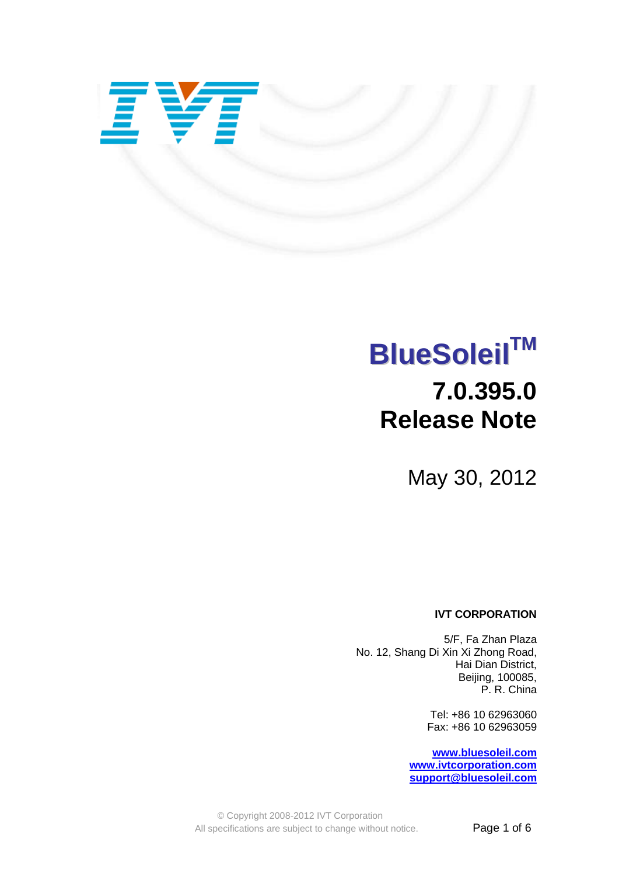

# **BlueSoleil TM 7.0.395.0 Release Note**

May 30, 2012

#### **IVT CORPORATION**

5/F, Fa Zhan Plaza No. 12, Shang Di Xin Xi Zhong Road, Hai Dian District, Beijing, 100085, P. R. China

> Tel: +86 10 62963060 Fax: +86 10 62963059

**[www.bluesoleil.com](http://www.bluesoleil.com/) [www.ivtcorporation.com](http://www.ivtcorporation.com/) [support@bluesoleil.com](mailto:support@bluesoleil.com)**

© Copyright 2008-2012 IVT Corporation All specifications are subject to change without notice. **Page 1 of 6**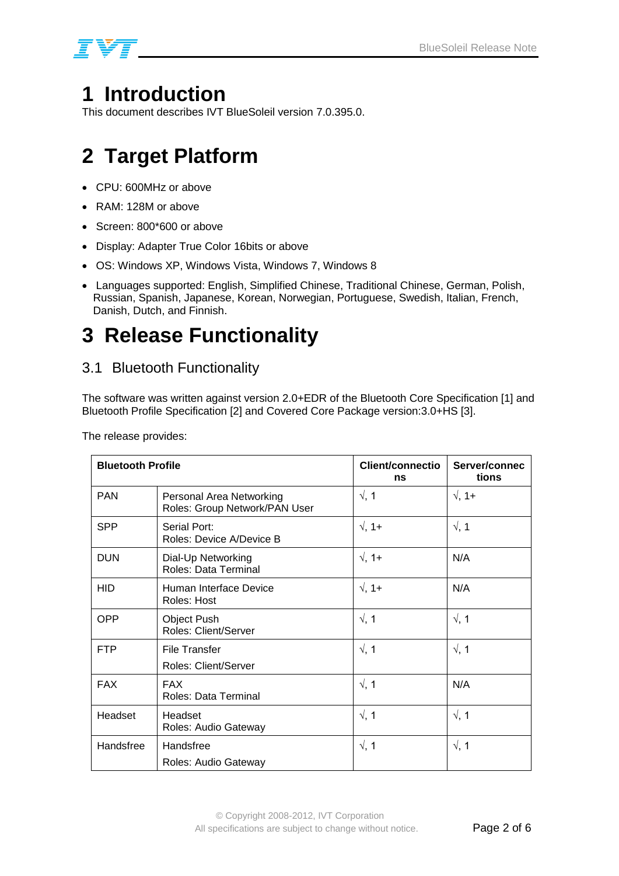

## **1 Introduction**

This document describes IVT BlueSoleil version 7.0.395.0.

# **2 Target Platform**

- CPU: 600MHz or above
- RAM: 128M or above
- Screen: 800\*600 or above
- Display: Adapter True Color 16bits or above
- OS: Windows XP, Windows Vista, Windows 7, Windows 8
- Languages supported: English, Simplified Chinese, Traditional Chinese, German, Polish, Russian, Spanish, Japanese, Korean, Norwegian, Portuguese, Swedish, Italian, French, Danish, Dutch, and Finnish.

# **3 Release Functionality**

### 3.1 Bluetooth Functionality

The software was written against version 2.0+EDR of the Bluetooth Core Specification [1] and Bluetooth Profile Specification [2] and Covered Core Package version:3.0+HS [3].

| <b>Bluetooth Profile</b> |                                                           | Client/connectio<br>ns | Server/connec<br>tions |
|--------------------------|-----------------------------------------------------------|------------------------|------------------------|
| <b>PAN</b>               | Personal Area Networking<br>Roles: Group Network/PAN User | $\sqrt{, 1}$           | $\sqrt{, 1+}$          |
| <b>SPP</b>               | Serial Port:<br>Roles: Device A/Device B                  | $\sqrt{, 1+}$          | $\sqrt{, 1}$           |
| <b>DUN</b>               | Dial-Up Networking<br>Roles: Data Terminal                | $\sqrt{, 1+}$          | N/A                    |
| <b>HID</b>               | Human Interface Device<br>Roles: Host                     | $\sqrt{, 1+}$          | N/A                    |
| <b>OPP</b>               | <b>Object Push</b><br><b>Roles: Client/Server</b>         | $\sqrt{, 1}$           | $\sqrt{, 1}$           |
| <b>FTP</b>               | <b>File Transfer</b><br><b>Roles: Client/Server</b>       | $\sqrt{, 1}$           | $\sqrt{, 1}$           |
| <b>FAX</b>               | <b>FAX</b><br>Roles: Data Terminal                        | $\sqrt{, 1}$           | N/A                    |
| Headset                  | Headset<br>Roles: Audio Gateway                           | $\sqrt{, 1}$           | $\sqrt{, 1}$           |
| Handsfree                | Handsfree<br>Roles: Audio Gateway                         | $\sqrt{, 1}$           | $\sqrt{, 1}$           |

The release provides: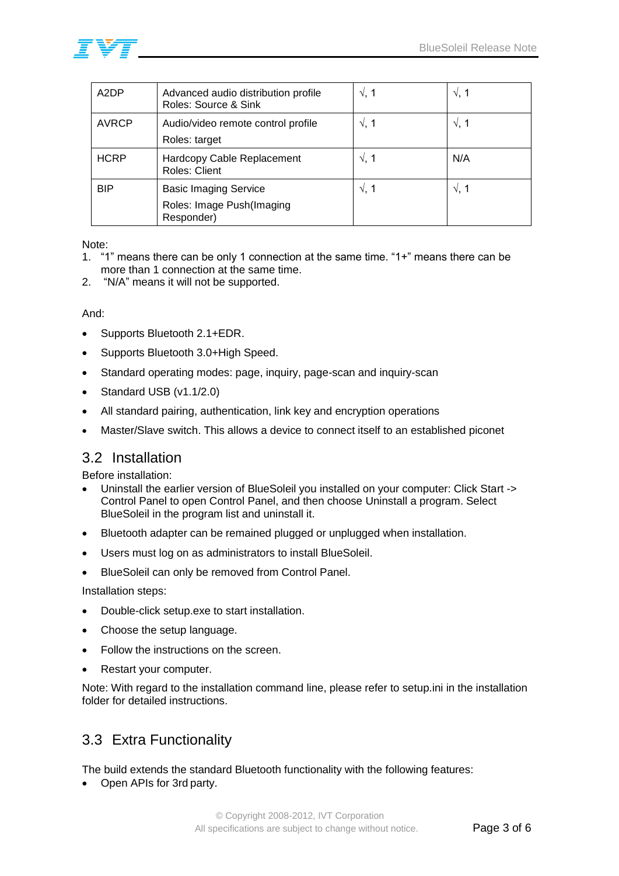

| A <sub>2</sub> DP | Advanced audio distribution profile<br>Roles: Source & Sink | $\sqrt{$ . 1 | $\sqrt{2}$ , 1 |
|-------------------|-------------------------------------------------------------|--------------|----------------|
| <b>AVRCP</b>      | Audio/video remote control profile<br>Roles: target         | $\sqrt{, 1}$ | $\sqrt{, 1}$   |
| <b>HCRP</b>       | Hardcopy Cable Replacement<br><b>Roles: Client</b>          | $\sqrt{, 1}$ | N/A            |
| <b>BIP</b>        | <b>Basic Imaging Service</b>                                | $\sqrt{$ , 1 | $\sqrt{, 1}$   |
|                   | Roles: Image Push(Imaging<br>Responder)                     |              |                |

#### Note:

- 1. "1" means there can be only 1 connection at the same time. "1+" means there can be more than 1 connection at the same time.
- 2. "N/A" means it will not be supported.

#### And:

- Supports Bluetooth 2.1+EDR.
- Supports Bluetooth 3.0+High Speed.
- Standard operating modes: page, inquiry, page-scan and inquiry-scan
- Standard USB (v1.1/2.0)
- All standard pairing, authentication, link key and encryption operations
- Master/Slave switch. This allows a device to connect itself to an established piconet

#### 3.2 Installation

Before installation:

- Uninstall the earlier version of BlueSoleil you installed on your computer: Click Start -> Control Panel to open Control Panel, and then choose Uninstall a program. Select BlueSoleil in the program list and uninstall it.
- Bluetooth adapter can be remained plugged or unplugged when installation.
- Users must log on as administrators to install BlueSoleil.
- BlueSoleil can only be removed from Control Panel.

Installation steps:

- Double-click setup.exe to start installation.
- Choose the setup language.
- Follow the instructions on the screen.
- Restart your computer.

Note: With regard to the installation command line, please refer to setup.ini in the installation folder for detailed instructions.

### 3.3 Extra Functionality

The build extends the standard Bluetooth functionality with the following features:

• Open APIs for 3rd party.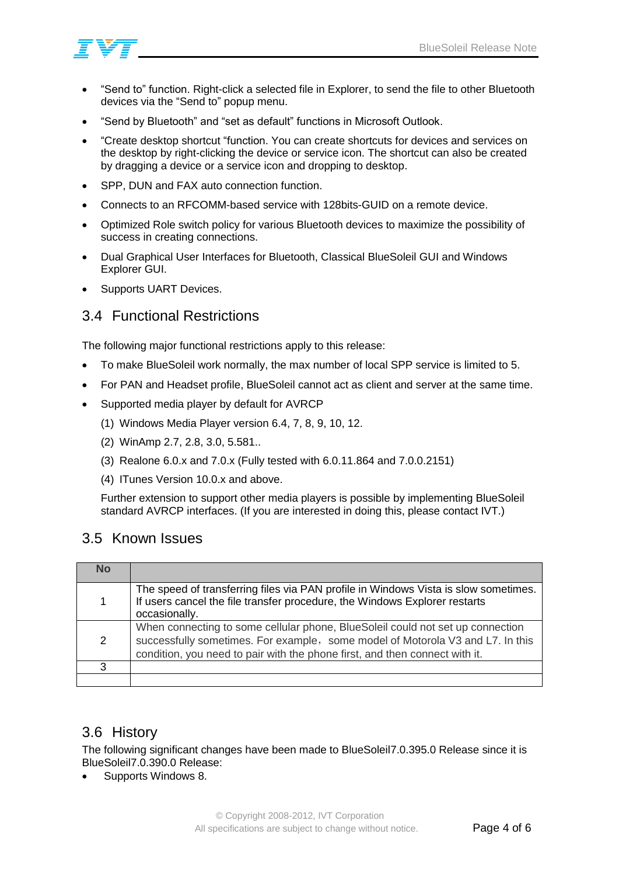

- "Send to" function. Right-click a selected file in Explorer, to send the file to other Bluetooth devices via the "Send to" popup menu.
- "Send by Bluetooth" and "set as default" functions in Microsoft Outlook.
- "Create desktop shortcut "function. You can create shortcuts for devices and services on the desktop by right-clicking the device or service icon. The shortcut can also be created by dragging a device or a service icon and dropping to desktop.
- SPP, DUN and FAX auto connection function.
- Connects to an RFCOMM-based service with 128bits-GUID on a remote device.
- Optimized Role switch policy for various Bluetooth devices to maximize the possibility of success in creating connections.
- Dual Graphical User Interfaces for Bluetooth, Classical BlueSoleil GUI and Windows Explorer GUI.
- Supports UART Devices.

### 3.4 Functional Restrictions

The following major functional restrictions apply to this release:

- To make BlueSoleil work normally, the max number of local SPP service is limited to 5.
- For PAN and Headset profile, BlueSoleil cannot act as client and server at the same time.
- Supported media player by default for AVRCP
	- (1) Windows Media Player version 6.4, 7, 8, 9, 10, 12.
	- (2) WinAmp 2.7, 2.8, 3.0, 5.581..
	- (3) Realone 6.0.x and 7.0.x (Fully tested with 6.0.11.864 and 7.0.0.2151)
	- (4) ITunes Version 10.0.x and above.

Further extension to support other media players is possible by implementing BlueSoleil standard AVRCP interfaces. (If you are interested in doing this, please contact IVT.)

#### 3.5 Known Issues

| No             |                                                                                                                                                                                                                                                 |
|----------------|-------------------------------------------------------------------------------------------------------------------------------------------------------------------------------------------------------------------------------------------------|
| $\mathbf{1}$   | The speed of transferring files via PAN profile in Windows Vista is slow sometimes.<br>If users cancel the file transfer procedure, the Windows Explorer restarts<br>occasionally.                                                              |
| $\overline{2}$ | When connecting to some cellular phone, BlueSoleil could not set up connection<br>successfully sometimes. For example, some model of Motorola V3 and L7. In this<br>condition, you need to pair with the phone first, and then connect with it. |
| З              |                                                                                                                                                                                                                                                 |
|                |                                                                                                                                                                                                                                                 |

#### 3.6 History

The following significant changes have been made to BlueSoleil7.0.395.0 Release since it is BlueSoleil7.0.390.0 Release:

Supports Windows 8.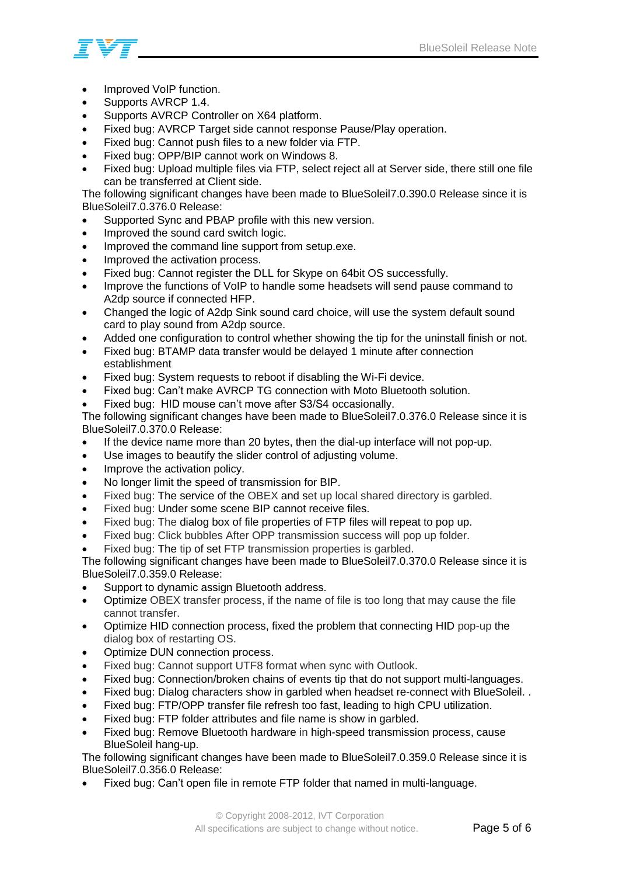

- Improved VoIP function.
- Supports AVRCP 1.4.
- Supports AVRCP Controller on X64 platform.
- Fixed bug: AVRCP Target side cannot response Pause/Play operation.
- Fixed bug: Cannot push files to a new folder via FTP.
- Fixed bug: OPP/BIP cannot work on Windows 8.
- Fixed bug: Upload multiple files via FTP, select reject all at Server side, there still one file can be transferred at Client side.

The following significant changes have been made to BlueSoleil7.0.390.0 Release since it is BlueSoleil7.0.376.0 Release:

- Supported Sync and PBAP profile with this new version.
- Improved the sound card switch logic.
- Improved the command line support from setup.exe.
- Improved the activation process.
- Fixed bug: Cannot register the DLL for Skype on 64bit OS successfully.
- Improve the functions of VoIP to handle some headsets will send pause command to A2dp source if connected HFP.
- Changed the logic of A2dp Sink sound card choice, will use the system default sound card to play sound from A2dp source.
- Added one configuration to control whether showing the tip for the uninstall finish or not.
- Fixed bug: BTAMP data transfer would be delayed 1 minute after connection establishment
- Fixed bug: System requests to reboot if disabling the Wi-Fi device.
- Fixed bug: Can't make AVRCP TG connection with Moto Bluetooth solution.
- Fixed bug: HID mouse can't move after S3/S4 occasionally.

The following significant changes have been made to BlueSoleil7.0.376.0 Release since it is BlueSoleil7.0.370.0 Release:

- If the device name more than 20 bytes, then the dial-up interface will not pop-up.
- Use images to beautify the slider control of adjusting volume.
- Improve the activation policy.
- No longer limit the speed of transmission for BIP.
- Fixed bug: The service of the OBEX and set up local shared directory is garbled.
- Fixed bug: Under some scene BIP cannot receive files.
- Fixed bug: The dialog box of file properties of FTP files will repeat to pop up.
- Fixed bug: Click bubbles After OPP transmission success will pop up folder.
- Fixed bug: The tip of set FTP transmission properties is garbled.

The following significant changes have been made to BlueSoleil7.0.370.0 Release since it is BlueSoleil7.0.359.0 Release:

- Support to dynamic assign Bluetooth address.
- Optimize OBEX transfer process, if the name of file is too long that may cause the file cannot transfer.
- Optimize HID connection process, fixed the problem that connecting HID pop-up the dialog box of restarting OS.
- Optimize DUN connection process.
- Fixed bug: Cannot support UTF8 format when sync with Outlook.
- Fixed bug: Connection/broken chains of events tip that do not support multi-languages.
- Fixed bug: Dialog characters show in garbled when headset re-connect with BlueSoleil. .
- Fixed bug: FTP/OPP transfer file refresh too fast, leading to high CPU utilization.
- Fixed bug: FTP folder attributes and file name is show in garbled.
- Fixed bug: Remove Bluetooth hardware in high-speed transmission process, cause BlueSoleil hang-up.

The following significant changes have been made to BlueSoleil7.0.359.0 Release since it is BlueSoleil7.0.356.0 Release:

Fixed bug: Can't open file in remote FTP folder that named in multi-language.